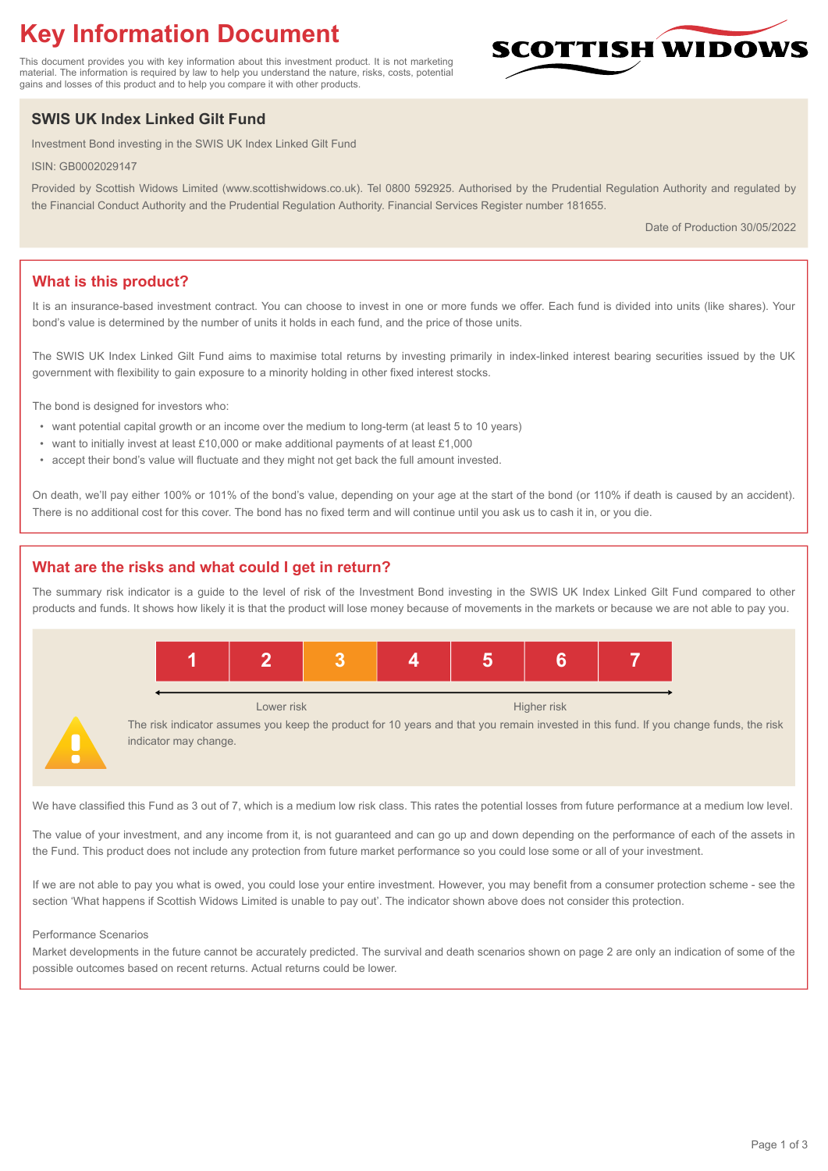# **Key Information Document**

This document provides you with key information about this investment product. It is not marketing material. The information is required by law to help you understand the nature, risks, costs, potential gains and losses of this product and to help you compare it with other products.

## **SWIS UK Index Linked Gilt Fund**

Investment Bond investing in the SWIS UK Index Linked Gilt Fund

ISIN: GB0002029147

Provided by Scottish Widows Limited (www.scottishwidows.co.uk). Tel 0800 592925. Authorised by the Prudential Regulation Authority and regulated by the Financial Conduct Authority and the Prudential Regulation Authority. Financial Services Register number 181655.

Date of Production 30/05/2022

**SCOTTISH WIDOW** 

## **What is this product?**

It is an insurance-based investment contract. You can choose to invest in one or more funds we offer. Each fund is divided into units (like shares). Your bond's value is determined by the number of units it holds in each fund, and the price of those units.

The SWIS UK Index Linked Gilt Fund aims to maximise total returns by investing primarily in index-linked interest bearing securities issued by the UK government with flexibility to gain exposure to a minority holding in other fixed interest stocks.

The bond is designed for investors who:

- want potential capital growth or an income over the medium to long-term (at least 5 to 10 years)
- want to initially invest at least £10,000 or make additional payments of at least £1,000
- accept their bond's value will fluctuate and they might not get back the full amount invested.

On death, we'll pay either 100% or 101% of the bond's value, depending on your age at the start of the bond (or 110% if death is caused by an accident). There is no additional cost for this cover. The bond has no fixed term and will continue until you ask us to cash it in, or you die.

## **What are the risks and what could I get in return?**

The summary risk indicator is a guide to the level of risk of the Investment Bond investing in the SWIS UK Index Linked Gilt Fund compared to other products and funds. It shows how likely it is that the product will lose money because of movements in the markets or because we are not able to pay you.



We have classified this Fund as 3 out of 7, which is a medium low risk class. This rates the potential losses from future performance at a medium low level.

The value of your investment, and any income from it, is not guaranteed and can go up and down depending on the performance of each of the assets in the Fund. This product does not include any protection from future market performance so you could lose some or all of your investment.

If we are not able to pay you what is owed, you could lose your entire investment. However, you may benefit from a consumer protection scheme - see the section 'What happens if Scottish Widows Limited is unable to pay out'. The indicator shown above does not consider this protection.

#### Performance Scenarios

Market developments in the future cannot be accurately predicted. The survival and death scenarios shown on page 2 are only an indication of some of the possible outcomes based on recent returns. Actual returns could be lower.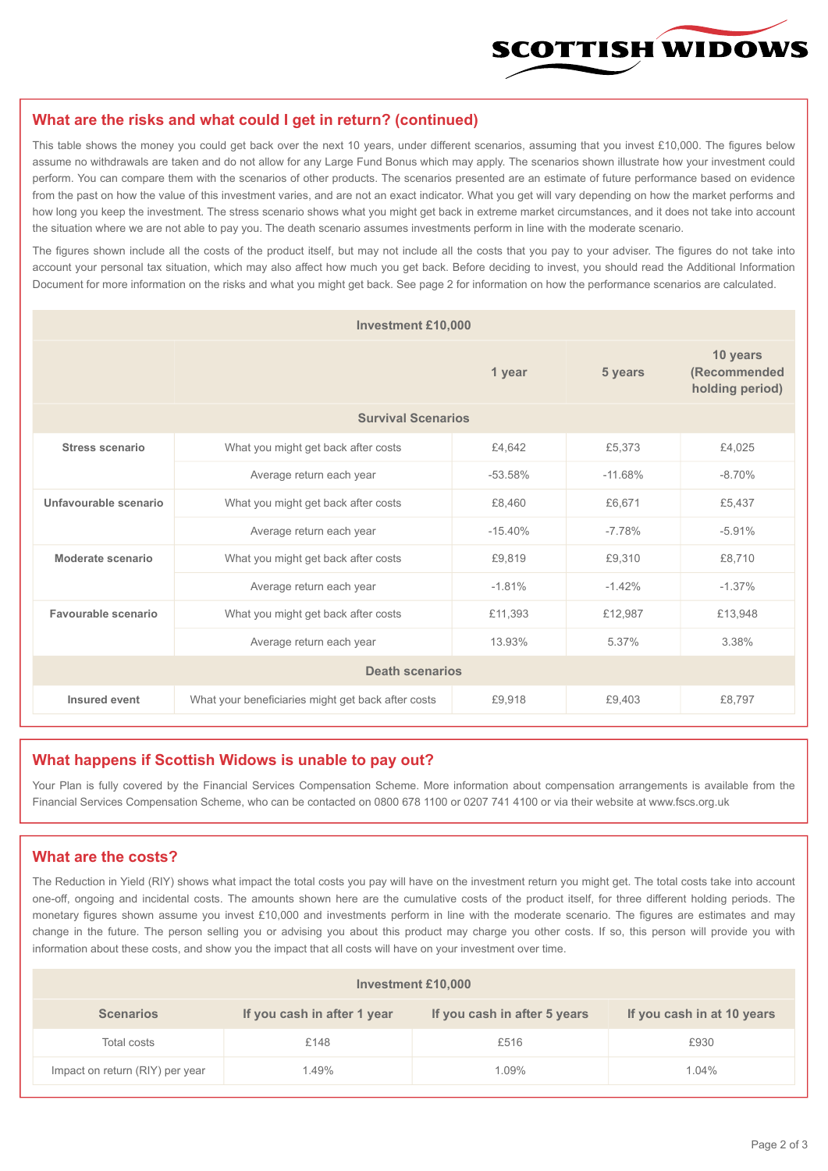

#### **What are the risks and what could I get in return? (continued)**

This table shows the money you could get back over the next 10 years, under different scenarios, assuming that you invest £10,000. The figures below assume no withdrawals are taken and do not allow for any Large Fund Bonus which may apply. The scenarios shown illustrate how your investment could perform. You can compare them with the scenarios of other products. The scenarios presented are an estimate of future performance based on evidence from the past on how the value of this investment varies, and are not an exact indicator. What you get will vary depending on how the market performs and how long you keep the investment. The stress scenario shows what you might get back in extreme market circumstances, and it does not take into account the situation where we are not able to pay you. The death scenario assumes investments perform in line with the moderate scenario.

The figures shown include all the costs of the product itself, but may not include all the costs that you pay to your adviser. The figures do not take into account your personal tax situation, which may also affect how much you get back. Before deciding to invest, you should read the Additional Information Document for more information on the risks and what you might get back. See page 2 for information on how the performance scenarios are calculated.

| <b>Investment £10,000</b> |                                                    |           |                                             |           |  |  |
|---------------------------|----------------------------------------------------|-----------|---------------------------------------------|-----------|--|--|
|                           |                                                    | 5 years   | 10 years<br>(Recommended<br>holding period) |           |  |  |
| <b>Survival Scenarios</b> |                                                    |           |                                             |           |  |  |
| <b>Stress scenario</b>    | £4,642<br>What you might get back after costs      |           | £5,373                                      | £4,025    |  |  |
|                           | $-53.58%$<br>Average return each year              |           | $-11.68%$                                   | $-8.70%$  |  |  |
| Unfavourable scenario     | What you might get back after costs<br>£8,460      |           | £6,671                                      | £5,437    |  |  |
|                           | Average return each year                           | $-15.40%$ | $-7.78%$                                    | $-5.91%$  |  |  |
| Moderate scenario         | What you might get back after costs                | £9,819    | £9,310                                      | £8,710    |  |  |
|                           | Average return each year                           | $-1.81%$  | $-1.42%$                                    | $-1.37\%$ |  |  |
| Favourable scenario       | What you might get back after costs                | £11,393   | £12,987                                     | £13,948   |  |  |
| Average return each year  |                                                    | 13.93%    | 5.37%                                       | 3.38%     |  |  |
| <b>Death scenarios</b>    |                                                    |           |                                             |           |  |  |
| Insured event             | What your beneficiaries might get back after costs | £9,918    | £9.403                                      | £8.797    |  |  |

#### **What happens if Scottish Widows is unable to pay out?**

Your Plan is fully covered by the Financial Services Compensation Scheme. More information about compensation arrangements is available from the Financial Services Compensation Scheme, who can be contacted on 0800 678 1100 or 0207 741 4100 or via their website at www.fscs.org.uk

#### **What are the costs?**

The Reduction in Yield (RIY) shows what impact the total costs you pay will have on the investment return you might get. The total costs take into account one-off, ongoing and incidental costs. The amounts shown here are the cumulative costs of the product itself, for three different holding periods. The monetary figures shown assume you invest £10,000 and investments perform in line with the moderate scenario. The figures are estimates and may change in the future. The person selling you or advising you about this product may charge you other costs. If so, this person will provide you with information about these costs, and show you the impact that all costs will have on your investment over time.

| Investment £10,000              |                             |                              |                            |  |  |  |
|---------------------------------|-----------------------------|------------------------------|----------------------------|--|--|--|
| <b>Scenarios</b>                | If you cash in after 1 year | If you cash in after 5 years | If you cash in at 10 years |  |  |  |
| Total costs                     | £148                        | £516                         | £930                       |  |  |  |
| Impact on return (RIY) per year | 1.49%                       | 1.09%                        | 1.04%                      |  |  |  |